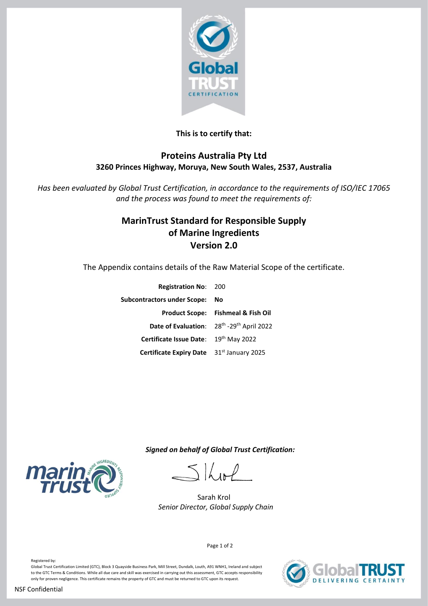

### **This is to certify that:**

### **Proteins Australia Pty Ltd 3260 Princes Highway, Moruya, New South Wales, 2537, Australia**

*Has been evaluated by Global Trust Certification, in accordance to the requirements of ISO/IEC 17065 and the process was found to meet the requirements of:*

## **MarinTrust Standard for Responsible Supply of Marine Ingredients Version 2.0**

The Appendix contains details of the Raw Material Scope of the certificate.

| <b>Registration No: 200</b>                                       |                                               |
|-------------------------------------------------------------------|-----------------------------------------------|
| Subcontractors under Scope:                                       | No                                            |
|                                                                   | <b>Product Scope: Fishmeal &amp; Fish Oil</b> |
| Date of Evaluation: 28 <sup>th</sup> -29 <sup>th</sup> April 2022 |                                               |
| Certificate Issue Date: 19th May 2022                             |                                               |
| Certificate Expiry Date 31st January 2025                         |                                               |
|                                                                   |                                               |

 *Signed on behalf of Global Trust Certification:*

 $\lfloor \int_{\Omega} \rho$ 

Sarah Krol  *Senior Director, Global Supply Chain* 





Page 1 of 2

Registered by: Global Trust Certification Limited (GTC), Block 3 Quayside Business Park, Mill Street, Dundalk, Louth, A91 WNH1, Ireland and subject to the GTC Terms & Conditions. While all due care and skill was exercised in carrying out this assessment, GTC accepts responsibility only for proven negligence. This certificate remains the property of GTC and must be returned to GTC upon its request.